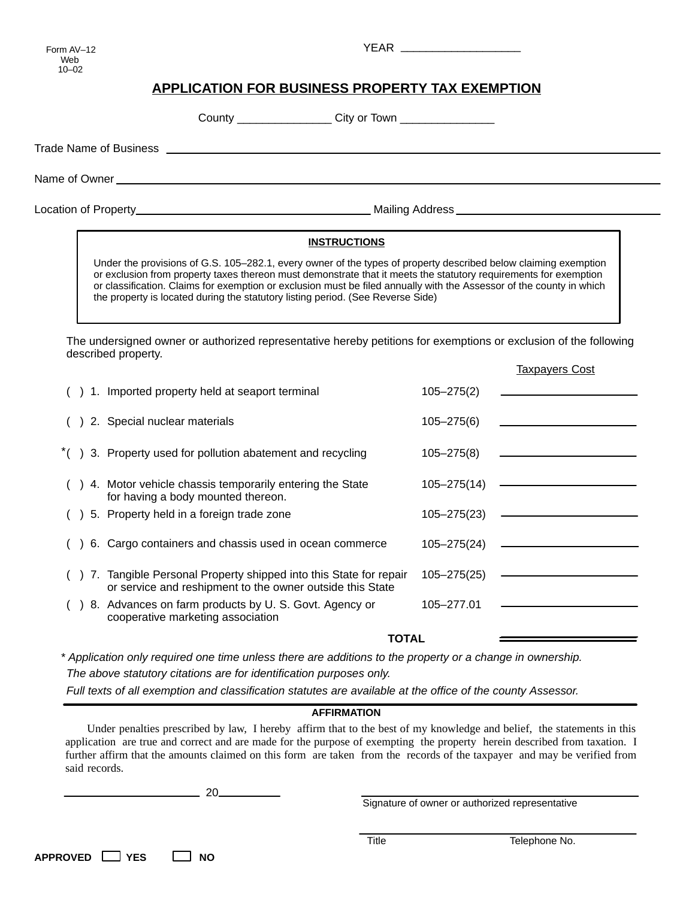### YEAR \_\_\_\_\_\_\_\_\_\_\_\_\_\_\_\_\_\_\_

# **APPLICATION FOR BUSINESS PROPERTY TAX EXEMPTION**

County \_\_\_\_\_\_\_\_\_\_\_\_\_\_\_ City or Town \_\_\_\_\_\_\_\_\_\_\_\_\_\_\_

Trade Name of Business

Name of Owner

Location of Property Mailing Address

## **INSTRUCTIONS**

Under the provisions of G.S. 105–282.1, every owner of the types of property described below claiming exemption or exclusion from property taxes thereon must demonstrate that it meets the statutory requirements for exemption or classification. Claims for exemption or exclusion must be filed annually with the Assessor of the county in which the property is located during the statutory listing period. (See Reverse Side)

The undersigned owner or authorized representative hereby petitions for exemptions or exclusion of the following described property.

|  |                                                                                                                               |                 | <u>Taxpayers Cost</u> |
|--|-------------------------------------------------------------------------------------------------------------------------------|-----------------|-----------------------|
|  | () 1. Imported property held at seaport terminal                                                                              | $105 - 275(2)$  |                       |
|  | 2. Special nuclear materials                                                                                                  | $105 - 275(6)$  |                       |
|  | *() 3. Property used for pollution abatement and recycling                                                                    | $105 - 275(8)$  |                       |
|  | 4. Motor vehicle chassis temporarily entering the State<br>for having a body mounted thereon.                                 | 105-275(14)     |                       |
|  | 5. Property held in a foreign trade zone                                                                                      | $105 - 275(23)$ |                       |
|  | 6. Cargo containers and chassis used in ocean commerce                                                                        | 105-275(24)     |                       |
|  | 7. Tangible Personal Property shipped into this State for repair<br>or service and reshipment to the owner outside this State | $105 - 275(25)$ |                       |
|  | 8. Advances on farm products by U.S. Govt. Agency or<br>cooperative marketing association                                     | 105-277.01      |                       |
|  | ΤΟΤΑΙ                                                                                                                         |                 |                       |

The above statutory citations are for identification purposes only. \* Application only required one time unless there are additions to the property or a change in ownership.

Full texts of all exemption and classification statutes are available at the office of the county Assessor.

## **AFFIRMATION**

Under penalties prescribed by law, I hereby affirm that to the best of my knowledge and belief, the statements in this application are true and correct and are made for the purpose of exempting the property herein described from taxation. I further affirm that the amounts claimed on this form are taken from the records of the taxpayer and may be verified from said records.

 $\overline{\phantom{a}20}$ 

Signature of owner or authorized representative